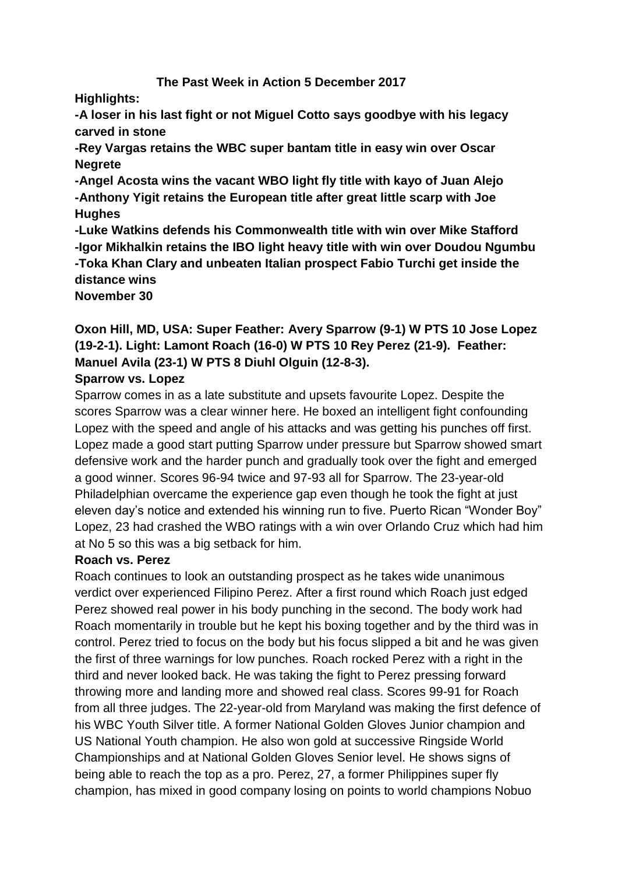#### **The Past Week in Action 5 December 2017**

**Highlights:**

**-A loser in his last fight or not Miguel Cotto says goodbye with his legacy carved in stone**

**-Rey Vargas retains the WBC super bantam title in easy win over Oscar Negrete**

**-Angel Acosta wins the vacant WBO light fly title with kayo of Juan Alejo -Anthony Yigit retains the European title after great little scarp with Joe Hughes**

**-Luke Watkins defends his Commonwealth title with win over Mike Stafford -Igor Mikhalkin retains the IBO light heavy title with win over Doudou Ngumbu -Toka Khan Clary and unbeaten Italian prospect Fabio Turchi get inside the distance wins**

**November 30**

# **Oxon Hill, MD, USA: Super Feather: Avery Sparrow (9-1) W PTS 10 Jose Lopez (19-2-1). Light: Lamont Roach (16-0) W PTS 10 Rey Perez (21-9). Feather: Manuel Avila (23-1) W PTS 8 Diuhl Olguin (12-8-3).**

#### **Sparrow vs. Lopez**

Sparrow comes in as a late substitute and upsets favourite Lopez. Despite the scores Sparrow was a clear winner here. He boxed an intelligent fight confounding Lopez with the speed and angle of his attacks and was getting his punches off first. Lopez made a good start putting Sparrow under pressure but Sparrow showed smart defensive work and the harder punch and gradually took over the fight and emerged a good winner. Scores 96-94 twice and 97-93 all for Sparrow. The 23-year-old Philadelphian overcame the experience gap even though he took the fight at just eleven day's notice and extended his winning run to five. Puerto Rican "Wonder Boy" Lopez, 23 had crashed the WBO ratings with a win over Orlando Cruz which had him at No 5 so this was a big setback for him.

#### **Roach vs. Perez**

Roach continues to look an outstanding prospect as he takes wide unanimous verdict over experienced Filipino Perez. After a first round which Roach just edged Perez showed real power in his body punching in the second. The body work had Roach momentarily in trouble but he kept his boxing together and by the third was in control. Perez tried to focus on the body but his focus slipped a bit and he was given the first of three warnings for low punches. Roach rocked Perez with a right in the third and never looked back. He was taking the fight to Perez pressing forward throwing more and landing more and showed real class. Scores 99-91 for Roach from all three judges. The 22-year-old from Maryland was making the first defence of his WBC Youth Silver title. A former National Golden Gloves Junior champion and US National Youth champion. He also won gold at successive Ringside World Championships and at National Golden Gloves Senior level. He shows signs of being able to reach the top as a pro. Perez, 27, a former Philippines super fly champion, has mixed in good company losing on points to world champions Nobuo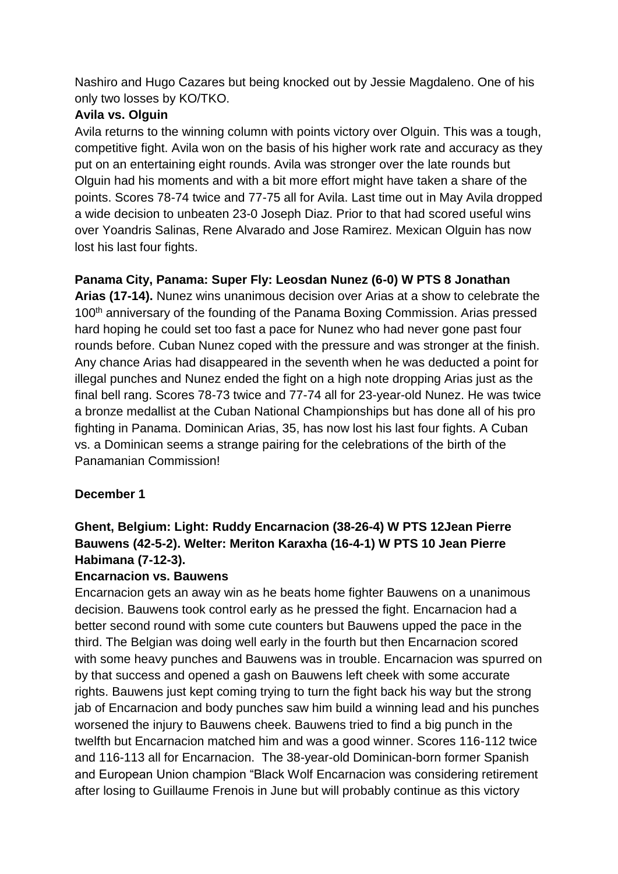Nashiro and Hugo Cazares but being knocked out by Jessie Magdaleno. One of his only two losses by KO/TKO.

#### **Avila vs. Olguin**

Avila returns to the winning column with points victory over Olguin. This was a tough, competitive fight. Avila won on the basis of his higher work rate and accuracy as they put on an entertaining eight rounds. Avila was stronger over the late rounds but Olguin had his moments and with a bit more effort might have taken a share of the points. Scores 78-74 twice and 77-75 all for Avila. Last time out in May Avila dropped a wide decision to unbeaten 23-0 Joseph Diaz. Prior to that had scored useful wins over Yoandris Salinas, Rene Alvarado and Jose Ramirez. Mexican Olguin has now lost his last four fights.

## **Panama City, Panama: Super Fly: Leosdan Nunez (6-0) W PTS 8 Jonathan**

**Arias (17-14).** Nunez wins unanimous decision over Arias at a show to celebrate the 100<sup>th</sup> anniversary of the founding of the Panama Boxing Commission. Arias pressed hard hoping he could set too fast a pace for Nunez who had never gone past four rounds before. Cuban Nunez coped with the pressure and was stronger at the finish. Any chance Arias had disappeared in the seventh when he was deducted a point for illegal punches and Nunez ended the fight on a high note dropping Arias just as the final bell rang. Scores 78-73 twice and 77-74 all for 23-year-old Nunez. He was twice a bronze medallist at the Cuban National Championships but has done all of his pro fighting in Panama. Dominican Arias, 35, has now lost his last four fights. A Cuban vs. a Dominican seems a strange pairing for the celebrations of the birth of the Panamanian Commission!

#### **December 1**

# **Ghent, Belgium: Light: Ruddy Encarnacion (38-26-4) W PTS 12Jean Pierre Bauwens (42-5-2). Welter: Meriton Karaxha (16-4-1) W PTS 10 Jean Pierre Habimana (7-12-3).**

#### **Encarnacion vs. Bauwens**

Encarnacion gets an away win as he beats home fighter Bauwens on a unanimous decision. Bauwens took control early as he pressed the fight. Encarnacion had a better second round with some cute counters but Bauwens upped the pace in the third. The Belgian was doing well early in the fourth but then Encarnacion scored with some heavy punches and Bauwens was in trouble. Encarnacion was spurred on by that success and opened a gash on Bauwens left cheek with some accurate rights. Bauwens just kept coming trying to turn the fight back his way but the strong jab of Encarnacion and body punches saw him build a winning lead and his punches worsened the injury to Bauwens cheek. Bauwens tried to find a big punch in the twelfth but Encarnacion matched him and was a good winner. Scores 116-112 twice and 116-113 all for Encarnacion. The 38-year-old Dominican-born former Spanish and European Union champion "Black Wolf Encarnacion was considering retirement after losing to Guillaume Frenois in June but will probably continue as this victory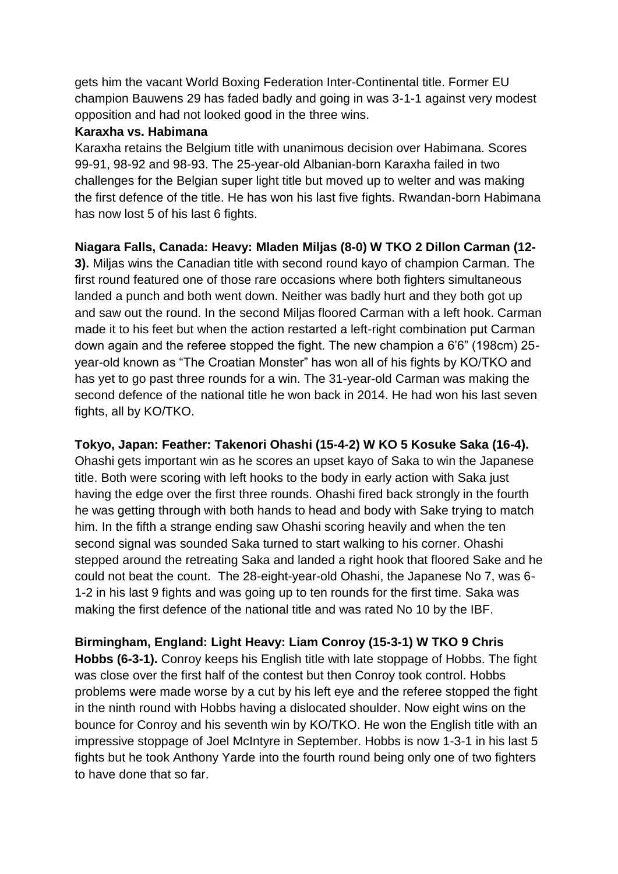gets him the vacant World Boxing Federation Inter-Continental title. Former EU champion Bauwens 29 has faded badly and going in was 3-1-1 against very modest opposition and had not looked good in the three wins.

#### **Karaxha vs. Habimana**

Karaxha retains the Belgium title with unanimous decision over Habimana. Scores 99-91, 98-92 and 98-93. The 25-year-old Albanian-born Karaxha failed in two challenges for the Belgian super light title but moved up to welter and was making the first defence of the title. He has won his last five fights. Rwandan-born Habimana has now lost 5 of his last 6 fights.

### **Niagara Falls, Canada: Heavy: Mladen Miljas (8-0) W TKO 2 Dillon Carman (12-**

**3).** Miljas wins the Canadian title with second round kayo of champion Carman. The first round featured one of those rare occasions where both fighters simultaneous landed a punch and both went down. Neither was badly hurt and they both got up and saw out the round. In the second Miljas floored Carman with a left hook. Carman made it to his feet but when the action restarted a left-right combination put Carman down again and the referee stopped the fight. The new champion a 6'6" (198cm) 25 year-old known as "The Croatian Monster" has won all of his fights by KO/TKO and has yet to go past three rounds for a win. The 31-year-old Carman was making the second defence of the national title he won back in 2014. He had won his last seven fights, all by KO/TKO.

**Tokyo, Japan: Feather: Takenori Ohashi (15-4-2) W KO 5 Kosuke Saka (16-4).** Ohashi gets important win as he scores an upset kayo of Saka to win the Japanese title. Both were scoring with left hooks to the body in early action with Saka just having the edge over the first three rounds. Ohashi fired back strongly in the fourth he was getting through with both hands to head and body with Sake trying to match him. In the fifth a strange ending saw Ohashi scoring heavily and when the ten second signal was sounded Saka turned to start walking to his corner. Ohashi stepped around the retreating Saka and landed a right hook that floored Sake and he could not beat the count. The 28-eight-year-old Ohashi, the Japanese No 7, was 6- 1-2 in his last 9 fights and was going up to ten rounds for the first time. Saka was making the first defence of the national title and was rated No 10 by the IBF.

**Birmingham, England: Light Heavy: Liam Conroy (15-3-1) W TKO 9 Chris Hobbs (6-3-1).** Conroy keeps his English title with late stoppage of Hobbs. The fight was close over the first half of the contest but then Conroy took control. Hobbs problems were made worse by a cut by his left eye and the referee stopped the fight in the ninth round with Hobbs having a dislocated shoulder. Now eight wins on the bounce for Conroy and his seventh win by KO/TKO. He won the English title with an impressive stoppage of Joel McIntyre in September. Hobbs is now 1-3-1 in his last 5 fights but he took Anthony Yarde into the fourth round being only one of two fighters to have done that so far.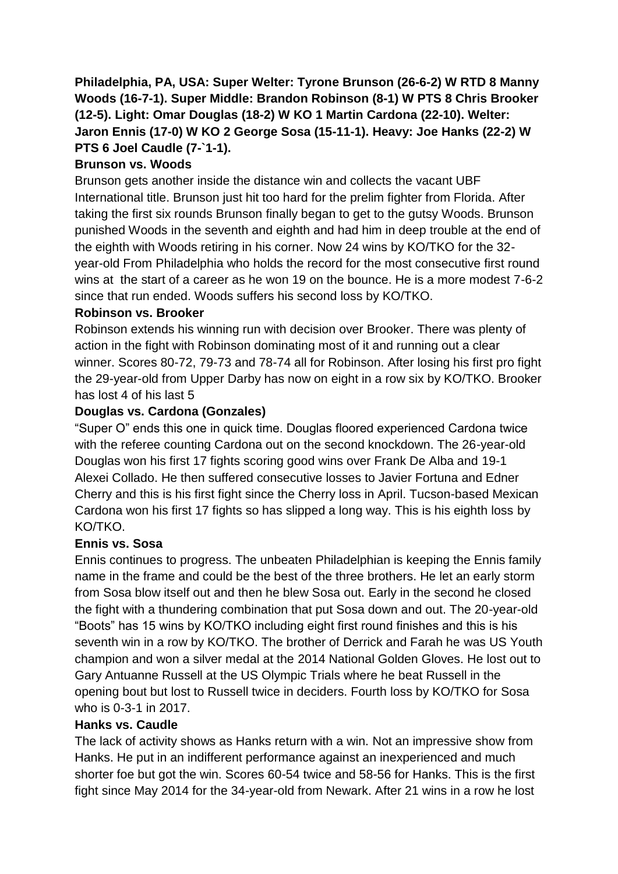**Philadelphia, PA, USA: Super Welter: Tyrone Brunson (26-6-2) W RTD 8 Manny Woods (16-7-1). Super Middle: Brandon Robinson (8-1) W PTS 8 Chris Brooker (12-5). Light: Omar Douglas (18-2) W KO 1 Martin Cardona (22-10). Welter: Jaron Ennis (17-0) W KO 2 George Sosa (15-11-1). Heavy: Joe Hanks (22-2) W PTS 6 Joel Caudle (7-`1-1).**

### **Brunson vs. Woods**

Brunson gets another inside the distance win and collects the vacant UBF International title. Brunson just hit too hard for the prelim fighter from Florida. After taking the first six rounds Brunson finally began to get to the gutsy Woods. Brunson punished Woods in the seventh and eighth and had him in deep trouble at the end of the eighth with Woods retiring in his corner. Now 24 wins by KO/TKO for the 32 year-old From Philadelphia who holds the record for the most consecutive first round wins at the start of a career as he won 19 on the bounce. He is a more modest 7-6-2 since that run ended. Woods suffers his second loss by KO/TKO.

#### **Robinson vs. Brooker**

Robinson extends his winning run with decision over Brooker. There was plenty of action in the fight with Robinson dominating most of it and running out a clear winner. Scores 80-72, 79-73 and 78-74 all for Robinson. After losing his first pro fight the 29-year-old from Upper Darby has now on eight in a row six by KO/TKO. Brooker has lost 4 of his last 5

### **Douglas vs. Cardona (Gonzales)**

"Super O" ends this one in quick time. Douglas floored experienced Cardona twice with the referee counting Cardona out on the second knockdown. The 26-year-old Douglas won his first 17 fights scoring good wins over Frank De Alba and 19-1 Alexei Collado. He then suffered consecutive losses to Javier Fortuna and Edner Cherry and this is his first fight since the Cherry loss in April. Tucson-based Mexican Cardona won his first 17 fights so has slipped a long way. This is his eighth loss by KO/TKO.

## **Ennis vs. Sosa**

Ennis continues to progress. The unbeaten Philadelphian is keeping the Ennis family name in the frame and could be the best of the three brothers. He let an early storm from Sosa blow itself out and then he blew Sosa out. Early in the second he closed the fight with a thundering combination that put Sosa down and out. The 20-year-old "Boots" has 15 wins by KO/TKO including eight first round finishes and this is his seventh win in a row by KO/TKO. The brother of Derrick and Farah he was US Youth champion and won a silver medal at the 2014 National Golden Gloves. He lost out to Gary Antuanne Russell at the US Olympic Trials where he beat Russell in the opening bout but lost to Russell twice in deciders. Fourth loss by KO/TKO for Sosa who is 0-3-1 in 2017.

#### **Hanks vs. Caudle**

The lack of activity shows as Hanks return with a win. Not an impressive show from Hanks. He put in an indifferent performance against an inexperienced and much shorter foe but got the win. Scores 60-54 twice and 58-56 for Hanks. This is the first fight since May 2014 for the 34-year-old from Newark. After 21 wins in a row he lost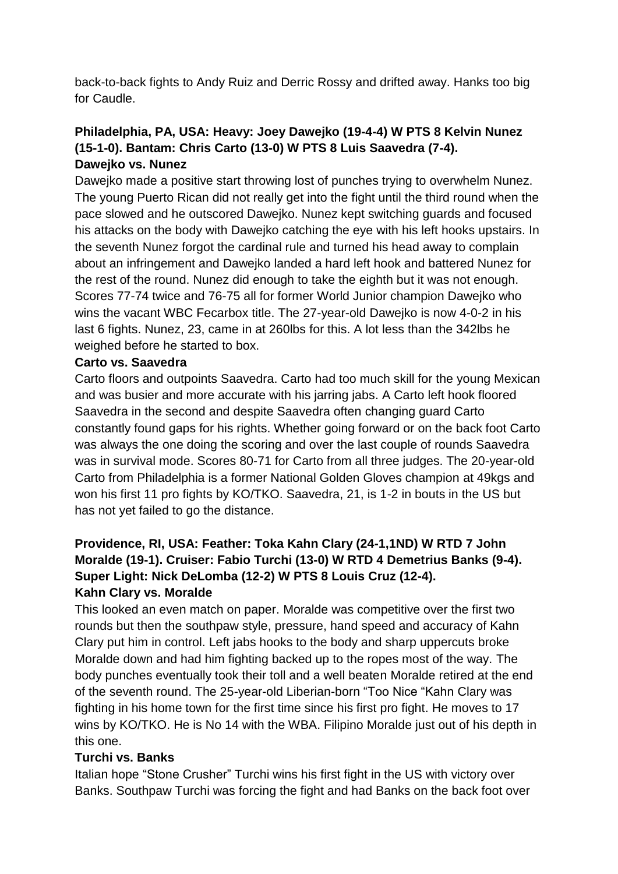back-to-back fights to Andy Ruiz and Derric Rossy and drifted away. Hanks too big for Caudle.

### **Philadelphia, PA, USA: Heavy: Joey Dawejko (19-4-4) W PTS 8 Kelvin Nunez (15-1-0). Bantam: Chris Carto (13-0) W PTS 8 Luis Saavedra (7-4). Dawejko vs. Nunez**

Dawejko made a positive start throwing lost of punches trying to overwhelm Nunez. The young Puerto Rican did not really get into the fight until the third round when the pace slowed and he outscored Dawejko. Nunez kept switching guards and focused his attacks on the body with Dawejko catching the eye with his left hooks upstairs. In the seventh Nunez forgot the cardinal rule and turned his head away to complain about an infringement and Dawejko landed a hard left hook and battered Nunez for the rest of the round. Nunez did enough to take the eighth but it was not enough. Scores 77-74 twice and 76-75 all for former World Junior champion Dawejko who wins the vacant WBC Fecarbox title. The 27-year-old Dawejko is now 4-0-2 in his last 6 fights. Nunez, 23, came in at 260lbs for this. A lot less than the 342lbs he weighed before he started to box.

#### **Carto vs. Saavedra**

Carto floors and outpoints Saavedra. Carto had too much skill for the young Mexican and was busier and more accurate with his jarring jabs. A Carto left hook floored Saavedra in the second and despite Saavedra often changing guard Carto constantly found gaps for his rights. Whether going forward or on the back foot Carto was always the one doing the scoring and over the last couple of rounds Saavedra was in survival mode. Scores 80-71 for Carto from all three judges. The 20-year-old Carto from Philadelphia is a former National Golden Gloves champion at 49kgs and won his first 11 pro fights by KO/TKO. Saavedra, 21, is 1-2 in bouts in the US but has not yet failed to go the distance.

### **Providence, RI, USA: Feather: Toka Kahn Clary (24-1,1ND) W RTD 7 John Moralde (19-1). Cruiser: Fabio Turchi (13-0) W RTD 4 Demetrius Banks (9-4). Super Light: Nick DeLomba (12-2) W PTS 8 Louis Cruz (12-4). Kahn Clary vs. Moralde**

This looked an even match on paper. Moralde was competitive over the first two rounds but then the southpaw style, pressure, hand speed and accuracy of Kahn Clary put him in control. Left jabs hooks to the body and sharp uppercuts broke Moralde down and had him fighting backed up to the ropes most of the way. The body punches eventually took their toll and a well beaten Moralde retired at the end of the seventh round. The 25-year-old Liberian-born "Too Nice "Kahn Clary was fighting in his home town for the first time since his first pro fight. He moves to 17 wins by KO/TKO. He is No 14 with the WBA. Filipino Moralde just out of his depth in this one.

#### **Turchi vs. Banks**

Italian hope "Stone Crusher" Turchi wins his first fight in the US with victory over Banks. Southpaw Turchi was forcing the fight and had Banks on the back foot over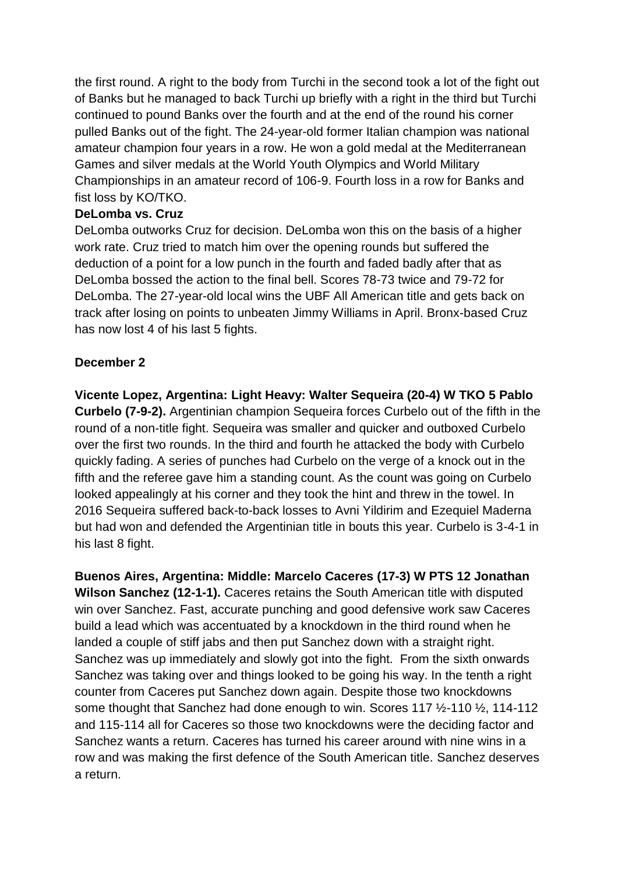the first round. A right to the body from Turchi in the second took a lot of the fight out of Banks but he managed to back Turchi up briefly with a right in the third but Turchi continued to pound Banks over the fourth and at the end of the round his corner pulled Banks out of the fight. The 24-year-old former Italian champion was national amateur champion four years in a row. He won a gold medal at the Mediterranean Games and silver medals at the World Youth Olympics and World Military Championships in an amateur record of 106-9. Fourth loss in a row for Banks and fist loss by KO/TKO.

#### **DeLomba vs. Cruz**

DeLomba outworks Cruz for decision. DeLomba won this on the basis of a higher work rate. Cruz tried to match him over the opening rounds but suffered the deduction of a point for a low punch in the fourth and faded badly after that as DeLomba bossed the action to the final bell. Scores 78-73 twice and 79-72 for DeLomba. The 27-year-old local wins the UBF All American title and gets back on track after losing on points to unbeaten Jimmy Williams in April. Bronx-based Cruz has now lost 4 of his last 5 fights.

### **December 2**

**Vicente Lopez, Argentina: Light Heavy: Walter Sequeira (20-4) W TKO 5 Pablo Curbelo (7-9-2).** Argentinian champion Sequeira forces Curbelo out of the fifth in the round of a non-title fight. Sequeira was smaller and quicker and outboxed Curbelo over the first two rounds. In the third and fourth he attacked the body with Curbelo quickly fading. A series of punches had Curbelo on the verge of a knock out in the fifth and the referee gave him a standing count. As the count was going on Curbelo looked appealingly at his corner and they took the hint and threw in the towel. In 2016 Sequeira suffered back-to-back losses to Avni Yildirim and Ezequiel Maderna but had won and defended the Argentinian title in bouts this year. Curbelo is 3-4-1 in his last 8 fight.

**Buenos Aires, Argentina: Middle: Marcelo Caceres (17-3) W PTS 12 Jonathan Wilson Sanchez (12-1-1).** Caceres retains the South American title with disputed win over Sanchez. Fast, accurate punching and good defensive work saw Caceres build a lead which was accentuated by a knockdown in the third round when he landed a couple of stiff jabs and then put Sanchez down with a straight right. Sanchez was up immediately and slowly got into the fight. From the sixth onwards Sanchez was taking over and things looked to be going his way. In the tenth a right counter from Caceres put Sanchez down again. Despite those two knockdowns some thought that Sanchez had done enough to win. Scores 117 ½-110 ½, 114-112 and 115-114 all for Caceres so those two knockdowns were the deciding factor and Sanchez wants a return. Caceres has turned his career around with nine wins in a row and was making the first defence of the South American title. Sanchez deserves a return.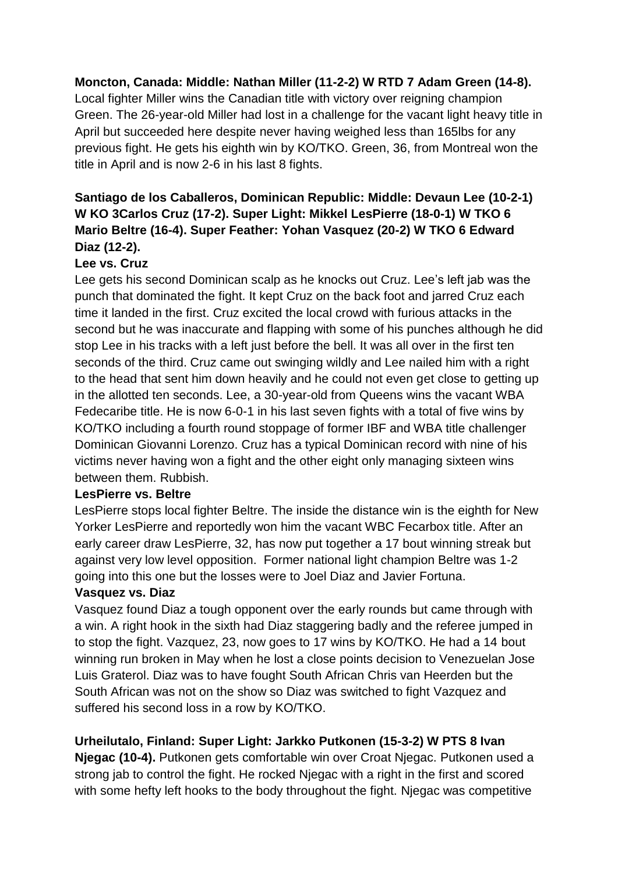#### **Moncton, Canada: Middle: Nathan Miller (11-2-2) W RTD 7 Adam Green (14-8).**

Local fighter Miller wins the Canadian title with victory over reigning champion Green. The 26-year-old Miller had lost in a challenge for the vacant light heavy title in April but succeeded here despite never having weighed less than 165lbs for any previous fight. He gets his eighth win by KO/TKO. Green, 36, from Montreal won the title in April and is now 2-6 in his last 8 fights.

# **Santiago de los Caballeros, Dominican Republic: Middle: Devaun Lee (10-2-1) W KO 3Carlos Cruz (17-2). Super Light: Mikkel LesPierre (18-0-1) W TKO 6 Mario Beltre (16-4). Super Feather: Yohan Vasquez (20-2) W TKO 6 Edward Diaz (12-2).**

### **Lee vs. Cruz**

Lee gets his second Dominican scalp as he knocks out Cruz. Lee's left jab was the punch that dominated the fight. It kept Cruz on the back foot and jarred Cruz each time it landed in the first. Cruz excited the local crowd with furious attacks in the second but he was inaccurate and flapping with some of his punches although he did stop Lee in his tracks with a left just before the bell. It was all over in the first ten seconds of the third. Cruz came out swinging wildly and Lee nailed him with a right to the head that sent him down heavily and he could not even get close to getting up in the allotted ten seconds. Lee, a 30-year-old from Queens wins the vacant WBA Fedecaribe title. He is now 6-0-1 in his last seven fights with a total of five wins by KO/TKO including a fourth round stoppage of former IBF and WBA title challenger Dominican Giovanni Lorenzo. Cruz has a typical Dominican record with nine of his victims never having won a fight and the other eight only managing sixteen wins between them. Rubbish.

#### **LesPierre vs. Beltre**

LesPierre stops local fighter Beltre. The inside the distance win is the eighth for New Yorker LesPierre and reportedly won him the vacant WBC Fecarbox title. After an early career draw LesPierre, 32, has now put together a 17 bout winning streak but against very low level opposition. Former national light champion Beltre was 1-2 going into this one but the losses were to Joel Diaz and Javier Fortuna.

#### **Vasquez vs. Diaz**

Vasquez found Diaz a tough opponent over the early rounds but came through with a win. A right hook in the sixth had Diaz staggering badly and the referee jumped in to stop the fight. Vazquez, 23, now goes to 17 wins by KO/TKO. He had a 14 bout winning run broken in May when he lost a close points decision to Venezuelan Jose Luis Graterol. Diaz was to have fought South African Chris van Heerden but the South African was not on the show so Diaz was switched to fight Vazquez and suffered his second loss in a row by KO/TKO.

## **Urheilutalo, Finland: Super Light: Jarkko Putkonen (15-3-2) W PTS 8 Ivan**

**Njegac (10-4).** Putkonen gets comfortable win over Croat Njegac. Putkonen used a strong jab to control the fight. He rocked Njegac with a right in the first and scored with some hefty left hooks to the body throughout the fight. Niegac was competitive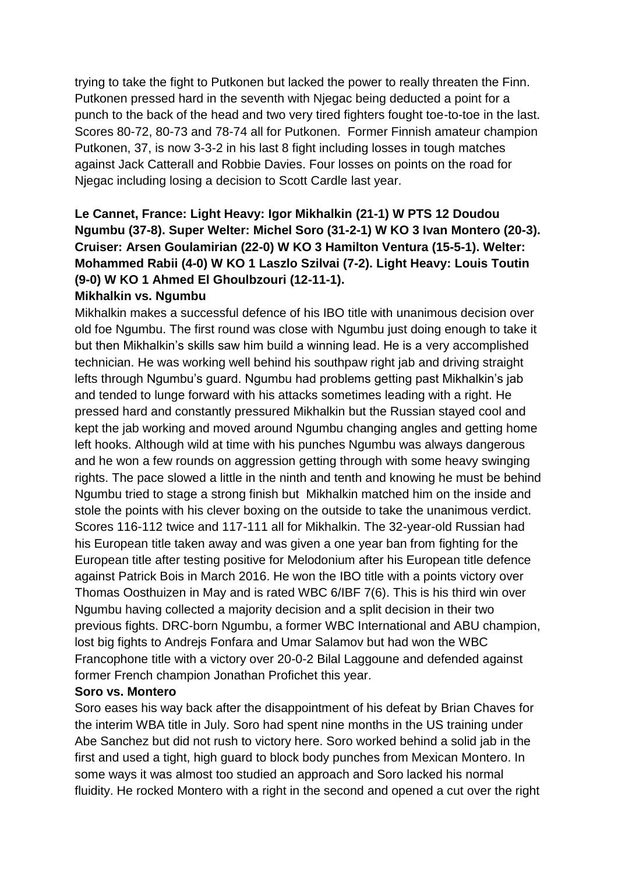trying to take the fight to Putkonen but lacked the power to really threaten the Finn. Putkonen pressed hard in the seventh with Njegac being deducted a point for a punch to the back of the head and two very tired fighters fought toe-to-toe in the last. Scores 80-72, 80-73 and 78-74 all for Putkonen. Former Finnish amateur champion Putkonen, 37, is now 3-3-2 in his last 8 fight including losses in tough matches against Jack Catterall and Robbie Davies. Four losses on points on the road for Njegac including losing a decision to Scott Cardle last year.

# **Le Cannet, France: Light Heavy: Igor Mikhalkin (21-1) W PTS 12 Doudou Ngumbu (37-8). Super Welter: Michel Soro (31-2-1) W KO 3 Ivan Montero (20-3). Cruiser: Arsen Goulamirian (22-0) W KO 3 Hamilton Ventura (15-5-1). Welter: Mohammed Rabii (4-0) W KO 1 Laszlo Szilvai (7-2). Light Heavy: Louis Toutin (9-0) W KO 1 Ahmed El Ghoulbzouri (12-11-1).**

#### **Mikhalkin vs. Ngumbu**

Mikhalkin makes a successful defence of his IBO title with unanimous decision over old foe Ngumbu. The first round was close with Ngumbu just doing enough to take it but then Mikhalkin's skills saw him build a winning lead. He is a very accomplished technician. He was working well behind his southpaw right jab and driving straight lefts through Ngumbu's guard. Ngumbu had problems getting past Mikhalkin's jab and tended to lunge forward with his attacks sometimes leading with a right. He pressed hard and constantly pressured Mikhalkin but the Russian stayed cool and kept the jab working and moved around Ngumbu changing angles and getting home left hooks. Although wild at time with his punches Ngumbu was always dangerous and he won a few rounds on aggression getting through with some heavy swinging rights. The pace slowed a little in the ninth and tenth and knowing he must be behind Ngumbu tried to stage a strong finish but Mikhalkin matched him on the inside and stole the points with his clever boxing on the outside to take the unanimous verdict. Scores 116-112 twice and 117-111 all for Mikhalkin. The 32-year-old Russian had his European title taken away and was given a one year ban from fighting for the European title after testing positive for Melodonium after his European title defence against Patrick Bois in March 2016. He won the IBO title with a points victory over Thomas Oosthuizen in May and is rated WBC 6/IBF 7(6). This is his third win over Ngumbu having collected a majority decision and a split decision in their two previous fights. DRC-born Ngumbu, a former WBC International and ABU champion, lost big fights to Andrejs Fonfara and Umar Salamov but had won the WBC Francophone title with a victory over 20-0-2 Bilal Laggoune and defended against former French champion Jonathan Profichet this year.

#### **Soro vs. Montero**

Soro eases his way back after the disappointment of his defeat by Brian Chaves for the interim WBA title in July. Soro had spent nine months in the US training under Abe Sanchez but did not rush to victory here. Soro worked behind a solid jab in the first and used a tight, high guard to block body punches from Mexican Montero. In some ways it was almost too studied an approach and Soro lacked his normal fluidity. He rocked Montero with a right in the second and opened a cut over the right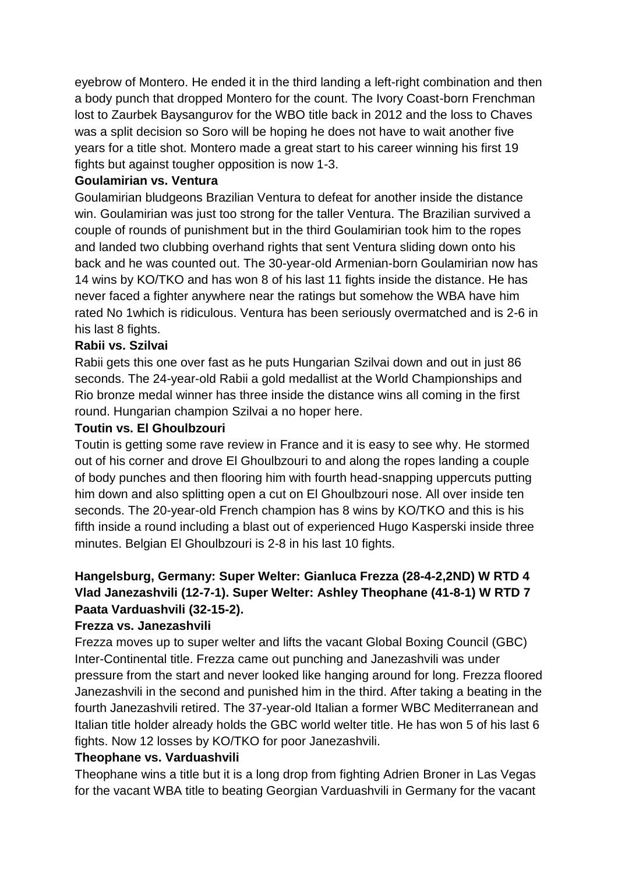eyebrow of Montero. He ended it in the third landing a left-right combination and then a body punch that dropped Montero for the count. The Ivory Coast-born Frenchman lost to Zaurbek Baysangurov for the WBO title back in 2012 and the loss to Chaves was a split decision so Soro will be hoping he does not have to wait another five years for a title shot. Montero made a great start to his career winning his first 19 fights but against tougher opposition is now 1-3.

#### **Goulamirian vs. Ventura**

Goulamirian bludgeons Brazilian Ventura to defeat for another inside the distance win. Goulamirian was just too strong for the taller Ventura. The Brazilian survived a couple of rounds of punishment but in the third Goulamirian took him to the ropes and landed two clubbing overhand rights that sent Ventura sliding down onto his back and he was counted out. The 30-year-old Armenian-born Goulamirian now has 14 wins by KO/TKO and has won 8 of his last 11 fights inside the distance. He has never faced a fighter anywhere near the ratings but somehow the WBA have him rated No 1which is ridiculous. Ventura has been seriously overmatched and is 2-6 in his last 8 fights.

#### **Rabii vs. Szilvai**

Rabii gets this one over fast as he puts Hungarian Szilvai down and out in just 86 seconds. The 24-year-old Rabii a gold medallist at the World Championships and Rio bronze medal winner has three inside the distance wins all coming in the first round. Hungarian champion Szilvai a no hoper here.

#### **Toutin vs. El Ghoulbzouri**

Toutin is getting some rave review in France and it is easy to see why. He stormed out of his corner and drove El Ghoulbzouri to and along the ropes landing a couple of body punches and then flooring him with fourth head-snapping uppercuts putting him down and also splitting open a cut on El Ghoulbzouri nose. All over inside ten seconds. The 20-year-old French champion has 8 wins by KO/TKO and this is his fifth inside a round including a blast out of experienced Hugo Kasperski inside three minutes. Belgian El Ghoulbzouri is 2-8 in his last 10 fights.

### **Hangelsburg, Germany: Super Welter: Gianluca Frezza (28-4-2,2ND) W RTD 4 Vlad Janezashvili (12-7-1). Super Welter: Ashley Theophane (41-8-1) W RTD 7 Paata Varduashvili (32-15-2).**

#### **Frezza vs. Janezashvili**

Frezza moves up to super welter and lifts the vacant Global Boxing Council (GBC) Inter-Continental title. Frezza came out punching and Janezashvili was under pressure from the start and never looked like hanging around for long. Frezza floored Janezashvili in the second and punished him in the third. After taking a beating in the fourth Janezashvili retired. The 37-year-old Italian a former WBC Mediterranean and Italian title holder already holds the GBC world welter title. He has won 5 of his last 6 fights. Now 12 losses by KO/TKO for poor Janezashvili.

#### **Theophane vs. Varduashvili**

Theophane wins a title but it is a long drop from fighting Adrien Broner in Las Vegas for the vacant WBA title to beating Georgian Varduashvili in Germany for the vacant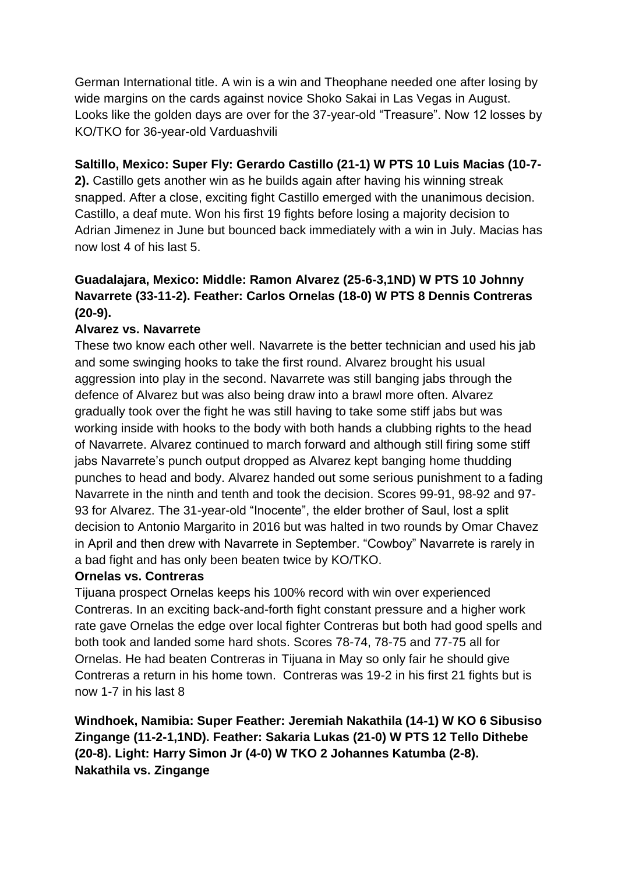German International title. A win is a win and Theophane needed one after losing by wide margins on the cards against novice Shoko Sakai in Las Vegas in August. Looks like the golden days are over for the 37-year-old "Treasure". Now 12 losses by KO/TKO for 36-year-old Varduashvili

### **Saltillo, Mexico: Super Fly: Gerardo Castillo (21-1) W PTS 10 Luis Macias (10-7-**

**2).** Castillo gets another win as he builds again after having his winning streak snapped. After a close, exciting fight Castillo emerged with the unanimous decision. Castillo, a deaf mute. Won his first 19 fights before losing a majority decision to Adrian Jimenez in June but bounced back immediately with a win in July. Macias has now lost 4 of his last 5.

# **Guadalajara, Mexico: Middle: Ramon Alvarez (25-6-3,1ND) W PTS 10 Johnny Navarrete (33-11-2). Feather: Carlos Ornelas (18-0) W PTS 8 Dennis Contreras (20-9).**

### **Alvarez vs. Navarrete**

These two know each other well. Navarrete is the better technician and used his jab and some swinging hooks to take the first round. Alvarez brought his usual aggression into play in the second. Navarrete was still banging jabs through the defence of Alvarez but was also being draw into a brawl more often. Alvarez gradually took over the fight he was still having to take some stiff jabs but was working inside with hooks to the body with both hands a clubbing rights to the head of Navarrete. Alvarez continued to march forward and although still firing some stiff jabs Navarrete's punch output dropped as Alvarez kept banging home thudding punches to head and body. Alvarez handed out some serious punishment to a fading Navarrete in the ninth and tenth and took the decision. Scores 99-91, 98-92 and 97- 93 for Alvarez. The 31-year-old "Inocente", the elder brother of Saul, lost a split decision to Antonio Margarito in 2016 but was halted in two rounds by Omar Chavez in April and then drew with Navarrete in September. "Cowboy" Navarrete is rarely in a bad fight and has only been beaten twice by KO/TKO.

#### **Ornelas vs. Contreras**

Tijuana prospect Ornelas keeps his 100% record with win over experienced Contreras. In an exciting back-and-forth fight constant pressure and a higher work rate gave Ornelas the edge over local fighter Contreras but both had good spells and both took and landed some hard shots. Scores 78-74, 78-75 and 77-75 all for Ornelas. He had beaten Contreras in Tijuana in May so only fair he should give Contreras a return in his home town. Contreras was 19-2 in his first 21 fights but is now 1-7 in his last 8

**Windhoek, Namibia: Super Feather: Jeremiah Nakathila (14-1) W KO 6 Sibusiso Zingange (11-2-1,1ND). Feather: Sakaria Lukas (21-0) W PTS 12 Tello Dithebe (20-8). Light: Harry Simon Jr (4-0) W TKO 2 Johannes Katumba (2-8). Nakathila vs. Zingange**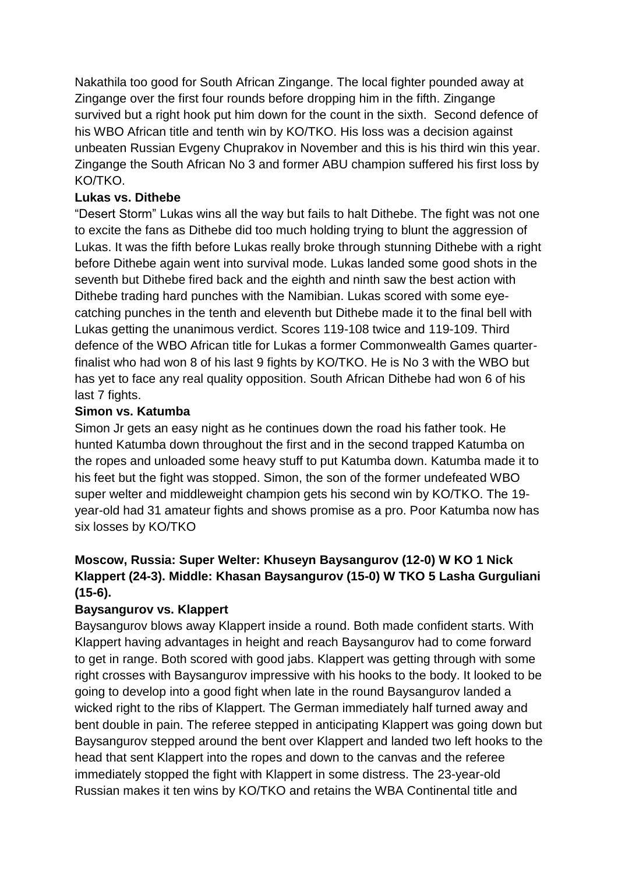Nakathila too good for South African Zingange. The local fighter pounded away at Zingange over the first four rounds before dropping him in the fifth. Zingange survived but a right hook put him down for the count in the sixth. Second defence of his WBO African title and tenth win by KO/TKO. His loss was a decision against unbeaten Russian Evgeny Chuprakov in November and this is his third win this year. Zingange the South African No 3 and former ABU champion suffered his first loss by KO/TKO.

#### **Lukas vs. Dithebe**

"Desert Storm" Lukas wins all the way but fails to halt Dithebe. The fight was not one to excite the fans as Dithebe did too much holding trying to blunt the aggression of Lukas. It was the fifth before Lukas really broke through stunning Dithebe with a right before Dithebe again went into survival mode. Lukas landed some good shots in the seventh but Dithebe fired back and the eighth and ninth saw the best action with Dithebe trading hard punches with the Namibian. Lukas scored with some eyecatching punches in the tenth and eleventh but Dithebe made it to the final bell with Lukas getting the unanimous verdict. Scores 119-108 twice and 119-109. Third defence of the WBO African title for Lukas a former Commonwealth Games quarterfinalist who had won 8 of his last 9 fights by KO/TKO. He is No 3 with the WBO but has yet to face any real quality opposition. South African Dithebe had won 6 of his last 7 fights.

#### **Simon vs. Katumba**

Simon Jr gets an easy night as he continues down the road his father took. He hunted Katumba down throughout the first and in the second trapped Katumba on the ropes and unloaded some heavy stuff to put Katumba down. Katumba made it to his feet but the fight was stopped. Simon, the son of the former undefeated WBO super welter and middleweight champion gets his second win by KO/TKO. The 19 year-old had 31 amateur fights and shows promise as a pro. Poor Katumba now has six losses by KO/TKO

## **Moscow, Russia: Super Welter: Khuseyn Baysangurov (12-0) W KO 1 Nick Klappert (24-3). Middle: Khasan Baysangurov (15-0) W TKO 5 Lasha Gurguliani (15-6).**

#### **Baysangurov vs. Klappert**

Baysangurov blows away Klappert inside a round. Both made confident starts. With Klappert having advantages in height and reach Baysangurov had to come forward to get in range. Both scored with good jabs. Klappert was getting through with some right crosses with Baysangurov impressive with his hooks to the body. It looked to be going to develop into a good fight when late in the round Baysangurov landed a wicked right to the ribs of Klappert. The German immediately half turned away and bent double in pain. The referee stepped in anticipating Klappert was going down but Baysangurov stepped around the bent over Klappert and landed two left hooks to the head that sent Klappert into the ropes and down to the canvas and the referee immediately stopped the fight with Klappert in some distress. The 23-year-old Russian makes it ten wins by KO/TKO and retains the WBA Continental title and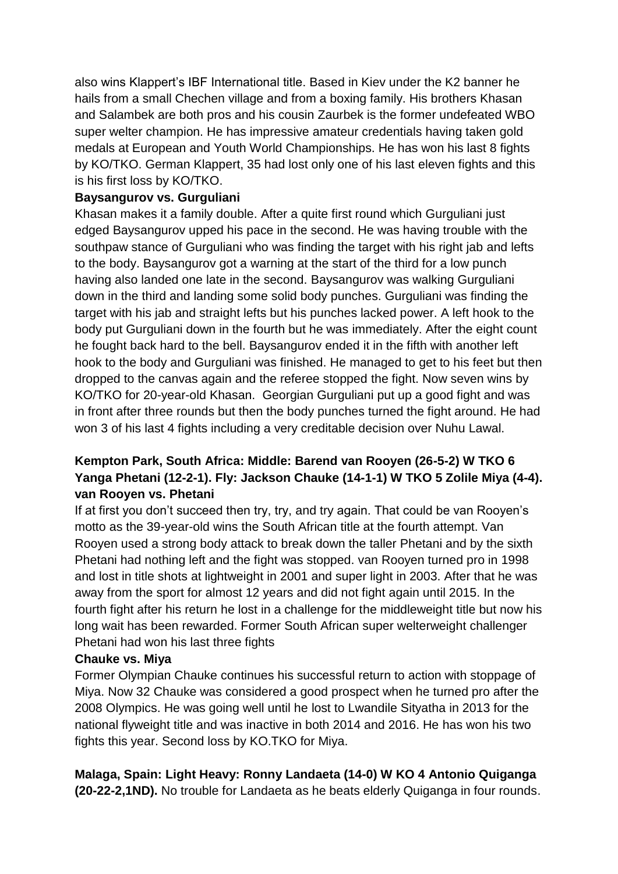also wins Klappert's IBF International title. Based in Kiev under the K2 banner he hails from a small Chechen village and from a boxing family. His brothers Khasan and Salambek are both pros and his cousin Zaurbek is the former undefeated WBO super welter champion. He has impressive amateur credentials having taken gold medals at European and Youth World Championships. He has won his last 8 fights by KO/TKO. German Klappert, 35 had lost only one of his last eleven fights and this is his first loss by KO/TKO.

#### **Baysangurov vs. Gurguliani**

Khasan makes it a family double. After a quite first round which Gurguliani just edged Baysangurov upped his pace in the second. He was having trouble with the southpaw stance of Gurguliani who was finding the target with his right jab and lefts to the body. Baysangurov got a warning at the start of the third for a low punch having also landed one late in the second. Baysangurov was walking Gurguliani down in the third and landing some solid body punches. Gurguliani was finding the target with his jab and straight lefts but his punches lacked power. A left hook to the body put Gurguliani down in the fourth but he was immediately. After the eight count he fought back hard to the bell. Baysangurov ended it in the fifth with another left hook to the body and Gurguliani was finished. He managed to get to his feet but then dropped to the canvas again and the referee stopped the fight. Now seven wins by KO/TKO for 20-year-old Khasan. Georgian Gurguliani put up a good fight and was in front after three rounds but then the body punches turned the fight around. He had won 3 of his last 4 fights including a very creditable decision over Nuhu Lawal.

## **Kempton Park, South Africa: Middle: Barend van Rooyen (26-5-2) W TKO 6 Yanga Phetani (12-2-1). Fly: Jackson Chauke (14-1-1) W TKO 5 Zolile Miya (4-4). van Rooyen vs. Phetani**

If at first you don't succeed then try, try, and try again. That could be van Rooyen's motto as the 39-year-old wins the South African title at the fourth attempt. Van Rooyen used a strong body attack to break down the taller Phetani and by the sixth Phetani had nothing left and the fight was stopped. van Rooyen turned pro in 1998 and lost in title shots at lightweight in 2001 and super light in 2003. After that he was away from the sport for almost 12 years and did not fight again until 2015. In the fourth fight after his return he lost in a challenge for the middleweight title but now his long wait has been rewarded. Former South African super welterweight challenger Phetani had won his last three fights

#### **Chauke vs. Miya**

Former Olympian Chauke continues his successful return to action with stoppage of Miya. Now 32 Chauke was considered a good prospect when he turned pro after the 2008 Olympics. He was going well until he lost to Lwandile Sityatha in 2013 for the national flyweight title and was inactive in both 2014 and 2016. He has won his two fights this year. Second loss by KO.TKO for Miya.

# **Malaga, Spain: Light Heavy: Ronny Landaeta (14-0) W KO 4 Antonio Quiganga**

**(20-22-2,1ND).** No trouble for Landaeta as he beats elderly Quiganga in four rounds.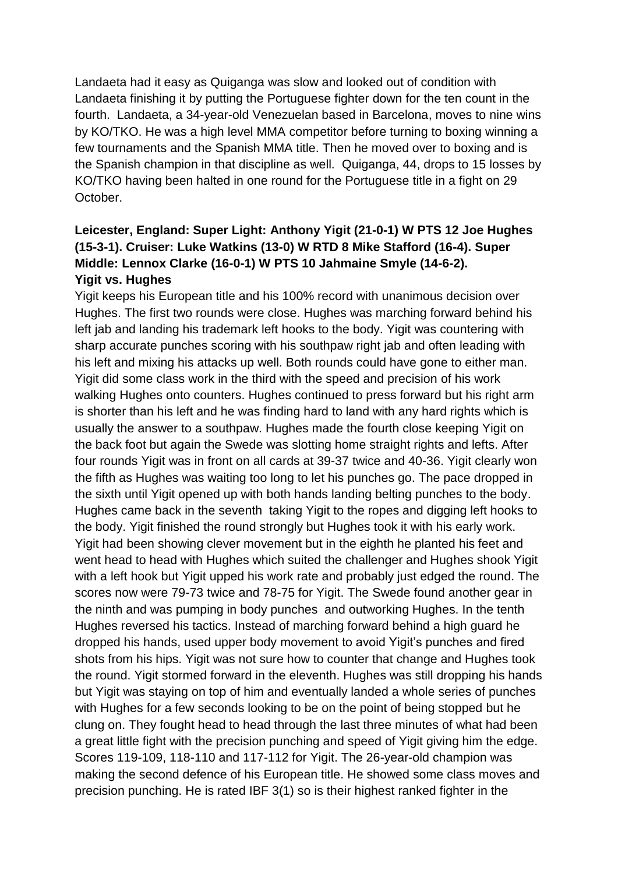Landaeta had it easy as Quiganga was slow and looked out of condition with Landaeta finishing it by putting the Portuguese fighter down for the ten count in the fourth. Landaeta, a 34-year-old Venezuelan based in Barcelona, moves to nine wins by KO/TKO. He was a high level MMA competitor before turning to boxing winning a few tournaments and the Spanish MMA title. Then he moved over to boxing and is the Spanish champion in that discipline as well. Quiganga, 44, drops to 15 losses by KO/TKO having been halted in one round for the Portuguese title in a fight on 29 October.

### **Leicester, England: Super Light: Anthony Yigit (21-0-1) W PTS 12 Joe Hughes (15-3-1). Cruiser: Luke Watkins (13-0) W RTD 8 Mike Stafford (16-4). Super Middle: Lennox Clarke (16-0-1) W PTS 10 Jahmaine Smyle (14-6-2). Yigit vs. Hughes**

Yigit keeps his European title and his 100% record with unanimous decision over Hughes. The first two rounds were close. Hughes was marching forward behind his left jab and landing his trademark left hooks to the body. Yigit was countering with sharp accurate punches scoring with his southpaw right jab and often leading with his left and mixing his attacks up well. Both rounds could have gone to either man. Yigit did some class work in the third with the speed and precision of his work walking Hughes onto counters. Hughes continued to press forward but his right arm is shorter than his left and he was finding hard to land with any hard rights which is usually the answer to a southpaw. Hughes made the fourth close keeping Yigit on the back foot but again the Swede was slotting home straight rights and lefts. After four rounds Yigit was in front on all cards at 39-37 twice and 40-36. Yigit clearly won the fifth as Hughes was waiting too long to let his punches go. The pace dropped in the sixth until Yigit opened up with both hands landing belting punches to the body. Hughes came back in the seventh taking Yigit to the ropes and digging left hooks to the body. Yigit finished the round strongly but Hughes took it with his early work. Yigit had been showing clever movement but in the eighth he planted his feet and went head to head with Hughes which suited the challenger and Hughes shook Yigit with a left hook but Yigit upped his work rate and probably just edged the round. The scores now were 79-73 twice and 78-75 for Yigit. The Swede found another gear in the ninth and was pumping in body punches and outworking Hughes. In the tenth Hughes reversed his tactics. Instead of marching forward behind a high guard he dropped his hands, used upper body movement to avoid Yigit's punches and fired shots from his hips. Yigit was not sure how to counter that change and Hughes took the round. Yigit stormed forward in the eleventh. Hughes was still dropping his hands but Yigit was staying on top of him and eventually landed a whole series of punches with Hughes for a few seconds looking to be on the point of being stopped but he clung on. They fought head to head through the last three minutes of what had been a great little fight with the precision punching and speed of Yigit giving him the edge. Scores 119-109, 118-110 and 117-112 for Yigit. The 26-year-old champion was making the second defence of his European title. He showed some class moves and precision punching. He is rated IBF 3(1) so is their highest ranked fighter in the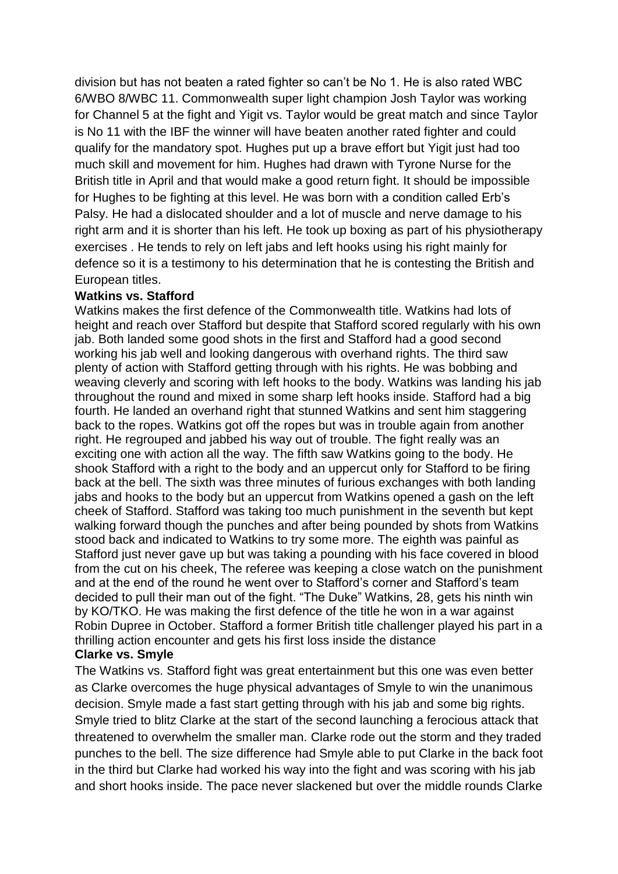division but has not beaten a rated fighter so can't be No 1. He is also rated WBC 6/WBO 8/WBC 11. Commonwealth super light champion Josh Taylor was working for Channel 5 at the fight and Yigit vs. Taylor would be great match and since Taylor is No 11 with the IBF the winner will have beaten another rated fighter and could qualify for the mandatory spot. Hughes put up a brave effort but Yigit just had too much skill and movement for him. Hughes had drawn with Tyrone Nurse for the British title in April and that would make a good return fight. It should be impossible for Hughes to be fighting at this level. He was born with a condition called Erb's Palsy. He had a dislocated shoulder and a lot of muscle and nerve damage to his right arm and it is shorter than his left. He took up boxing as part of his physiotherapy exercises . He tends to rely on left jabs and left hooks using his right mainly for defence so it is a testimony to his determination that he is contesting the British and European titles.

#### **Watkins vs. Stafford**

Watkins makes the first defence of the Commonwealth title. Watkins had lots of height and reach over Stafford but despite that Stafford scored regularly with his own jab. Both landed some good shots in the first and Stafford had a good second working his jab well and looking dangerous with overhand rights. The third saw plenty of action with Stafford getting through with his rights. He was bobbing and weaving cleverly and scoring with left hooks to the body. Watkins was landing his jab throughout the round and mixed in some sharp left hooks inside. Stafford had a big fourth. He landed an overhand right that stunned Watkins and sent him staggering back to the ropes. Watkins got off the ropes but was in trouble again from another right. He regrouped and jabbed his way out of trouble. The fight really was an exciting one with action all the way. The fifth saw Watkins going to the body. He shook Stafford with a right to the body and an uppercut only for Stafford to be firing back at the bell. The sixth was three minutes of furious exchanges with both landing jabs and hooks to the body but an uppercut from Watkins opened a gash on the left cheek of Stafford. Stafford was taking too much punishment in the seventh but kept walking forward though the punches and after being pounded by shots from Watkins stood back and indicated to Watkins to try some more. The eighth was painful as Stafford just never gave up but was taking a pounding with his face covered in blood from the cut on his cheek, The referee was keeping a close watch on the punishment and at the end of the round he went over to Stafford's corner and Stafford's team decided to pull their man out of the fight. "The Duke" Watkins, 28, gets his ninth win by KO/TKO. He was making the first defence of the title he won in a war against Robin Dupree in October. Stafford a former British title challenger played his part in a thrilling action encounter and gets his first loss inside the distance

#### **Clarke vs. Smyle**

The Watkins vs. Stafford fight was great entertainment but this one was even better as Clarke overcomes the huge physical advantages of Smyle to win the unanimous decision. Smyle made a fast start getting through with his jab and some big rights. Smyle tried to blitz Clarke at the start of the second launching a ferocious attack that threatened to overwhelm the smaller man. Clarke rode out the storm and they traded punches to the bell. The size difference had Smyle able to put Clarke in the back foot in the third but Clarke had worked his way into the fight and was scoring with his jab and short hooks inside. The pace never slackened but over the middle rounds Clarke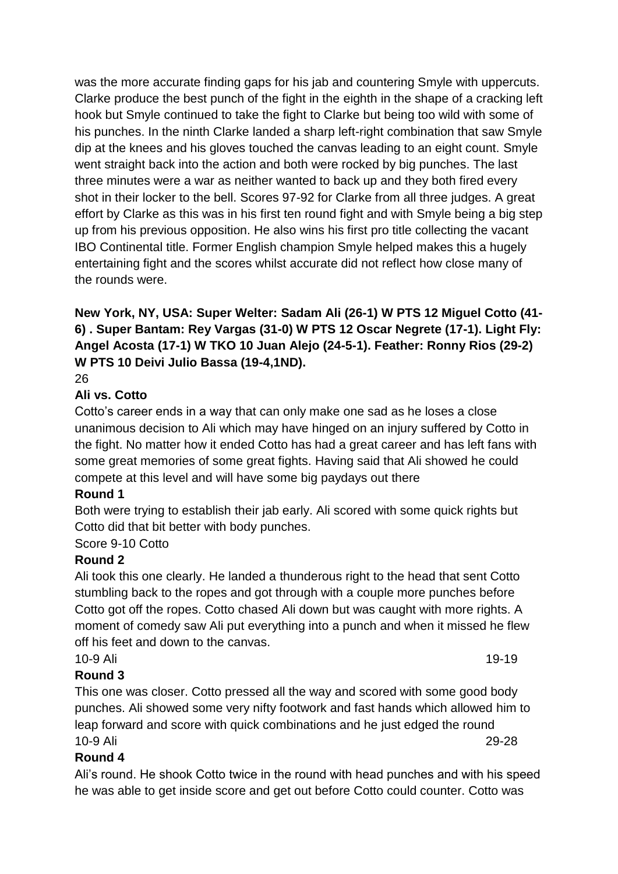was the more accurate finding gaps for his jab and countering Smyle with uppercuts. Clarke produce the best punch of the fight in the eighth in the shape of a cracking left hook but Smyle continued to take the fight to Clarke but being too wild with some of his punches. In the ninth Clarke landed a sharp left-right combination that saw Smyle dip at the knees and his gloves touched the canvas leading to an eight count. Smyle went straight back into the action and both were rocked by big punches. The last three minutes were a war as neither wanted to back up and they both fired every shot in their locker to the bell. Scores 97-92 for Clarke from all three judges. A great effort by Clarke as this was in his first ten round fight and with Smyle being a big step up from his previous opposition. He also wins his first pro title collecting the vacant IBO Continental title. Former English champion Smyle helped makes this a hugely entertaining fight and the scores whilst accurate did not reflect how close many of the rounds were.

# **New York, NY, USA: Super Welter: Sadam Ali (26-1) W PTS 12 Miguel Cotto (41- 6) . Super Bantam: Rey Vargas (31-0) W PTS 12 Oscar Negrete (17-1). Light Fly: Angel Acosta (17-1) W TKO 10 Juan Alejo (24-5-1). Feather: Ronny Rios (29-2) W PTS 10 Deivi Julio Bassa (19-4,1ND).**

26

#### **Ali vs. Cotto**

Cotto's career ends in a way that can only make one sad as he loses a close unanimous decision to Ali which may have hinged on an injury suffered by Cotto in the fight. No matter how it ended Cotto has had a great career and has left fans with some great memories of some great fights. Having said that Ali showed he could compete at this level and will have some big paydays out there

#### **Round 1**

Both were trying to establish their jab early. Ali scored with some quick rights but Cotto did that bit better with body punches.

## Score 9-10 Cotto

## **Round 2**

Ali took this one clearly. He landed a thunderous right to the head that sent Cotto stumbling back to the ropes and got through with a couple more punches before Cotto got off the ropes. Cotto chased Ali down but was caught with more rights. A moment of comedy saw Ali put everything into a punch and when it missed he flew off his feet and down to the canvas.

#### 10-9 Ali **19-19**

## **Round 3**

This one was closer. Cotto pressed all the way and scored with some good body punches. Ali showed some very nifty footwork and fast hands which allowed him to leap forward and score with quick combinations and he just edged the round 10-9 Ali 29-28

## **Round 4**

Ali's round. He shook Cotto twice in the round with head punches and with his speed he was able to get inside score and get out before Cotto could counter. Cotto was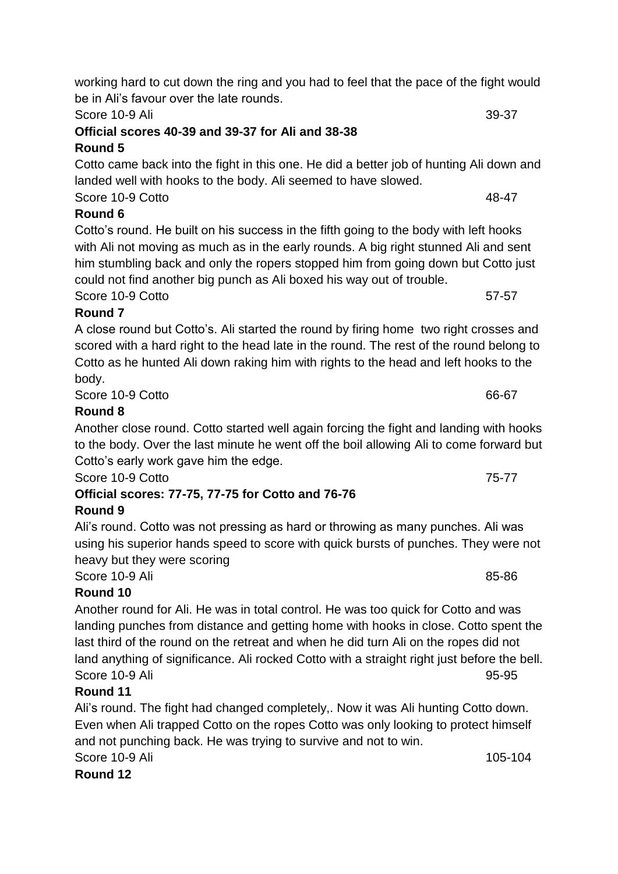Score 10-9 Ali 39-37 **Official scores 40-39 and 39-37 for Ali and 38-38**

# **Round 5**

Cotto came back into the fight in this one. He did a better job of hunting Ali down and landed well with hooks to the body. Ali seemed to have slowed.

Score 10-9 Cotto 48-47 **Round 6** Cotto's round. He built on his success in the fifth going to the body with left hooks

with Ali not moving as much as in the early rounds. A big right stunned Ali and sent him stumbling back and only the ropers stopped him from going down but Cotto just could not find another big punch as Ali boxed his way out of trouble.

**Round 7** A close round but Cotto's. Ali started the round by firing home two right crosses and scored with a hard right to the head late in the round. The rest of the round belong to Cotto as he hunted Ali down raking him with rights to the head and left hooks to the

### body.

Score 10-9 Cotto 66-67

## **Round 8**

Another close round. Cotto started well again forcing the fight and landing with hooks to the body. Over the last minute he went off the boil allowing Ali to come forward but Cotto's early work gave him the edge.

Score 10-9 Cotto 2008 - 2009 - 2009 - 2009 - 2010 - 2010 - 2010 - 2010 - 2010 - 2010 - 2010 - 2010 - 2010 - 20

**Official scores: 77-75, 77-75 for Cotto and 76-76**

## **Round 9**

Ali's round. Cotto was not pressing as hard or throwing as many punches. Ali was using his superior hands speed to score with quick bursts of punches. They were not heavy but they were scoring

Score 10-9 Ali 85-86

## **Round 10**

Another round for Ali. He was in total control. He was too quick for Cotto and was landing punches from distance and getting home with hooks in close. Cotto spent the last third of the round on the retreat and when he did turn Ali on the ropes did not land anything of significance. Ali rocked Cotto with a straight right just before the bell. Score 10-9 Ali 95-95

## **Round 11**

Ali's round. The fight had changed completely,. Now it was Ali hunting Cotto down. Even when Ali trapped Cotto on the ropes Cotto was only looking to protect himself and not punching back. He was trying to survive and not to win. Score 10-9 Ali 105-104

# **Round 12**

Score 10-9 Cotto 57-57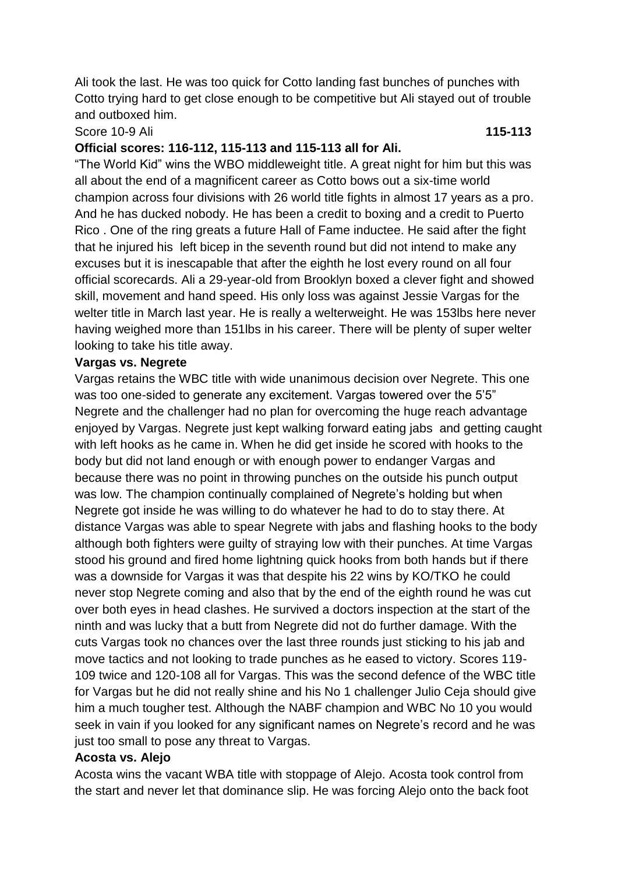Ali took the last. He was too quick for Cotto landing fast bunches of punches with Cotto trying hard to get close enough to be competitive but Ali stayed out of trouble and outboxed him.

#### Score 10-9 Ali **115-113**

#### **Official scores: 116-112, 115-113 and 115-113 all for Ali.**

"The World Kid" wins the WBO middleweight title. A great night for him but this was all about the end of a magnificent career as Cotto bows out a six-time world champion across four divisions with 26 world title fights in almost 17 years as a pro. And he has ducked nobody. He has been a credit to boxing and a credit to Puerto Rico . One of the ring greats a future Hall of Fame inductee. He said after the fight that he injured his left bicep in the seventh round but did not intend to make any excuses but it is inescapable that after the eighth he lost every round on all four official scorecards. Ali a 29-year-old from Brooklyn boxed a clever fight and showed skill, movement and hand speed. His only loss was against Jessie Vargas for the welter title in March last year. He is really a welterweight. He was 153lbs here never having weighed more than 151lbs in his career. There will be plenty of super welter looking to take his title away.

#### **Vargas vs. Negrete**

Vargas retains the WBC title with wide unanimous decision over Negrete. This one was too one-sided to generate any excitement. Vargas towered over the 5'5" Negrete and the challenger had no plan for overcoming the huge reach advantage enjoyed by Vargas. Negrete just kept walking forward eating jabs and getting caught with left hooks as he came in. When he did get inside he scored with hooks to the body but did not land enough or with enough power to endanger Vargas and because there was no point in throwing punches on the outside his punch output was low. The champion continually complained of Negrete's holding but when Negrete got inside he was willing to do whatever he had to do to stay there. At distance Vargas was able to spear Negrete with jabs and flashing hooks to the body although both fighters were guilty of straying low with their punches. At time Vargas stood his ground and fired home lightning quick hooks from both hands but if there was a downside for Vargas it was that despite his 22 wins by KO/TKO he could never stop Negrete coming and also that by the end of the eighth round he was cut over both eyes in head clashes. He survived a doctors inspection at the start of the ninth and was lucky that a butt from Negrete did not do further damage. With the cuts Vargas took no chances over the last three rounds just sticking to his jab and move tactics and not looking to trade punches as he eased to victory. Scores 119- 109 twice and 120-108 all for Vargas. This was the second defence of the WBC title for Vargas but he did not really shine and his No 1 challenger Julio Ceja should give him a much tougher test. Although the NABF champion and WBC No 10 you would seek in vain if you looked for any significant names on Negrete's record and he was just too small to pose any threat to Vargas.

#### **Acosta vs. Alejo**

Acosta wins the vacant WBA title with stoppage of Alejo. Acosta took control from the start and never let that dominance slip. He was forcing Alejo onto the back foot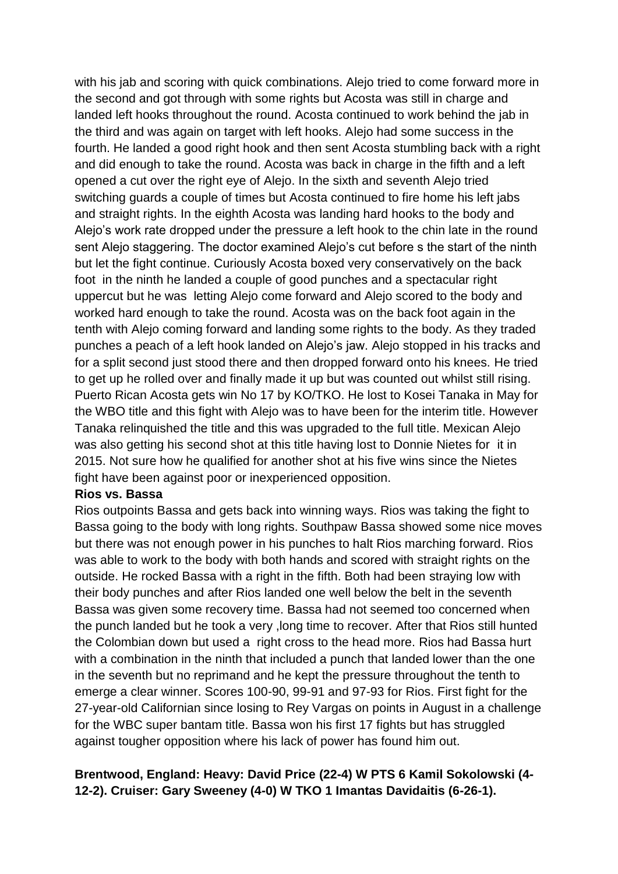with his jab and scoring with quick combinations. Alejo tried to come forward more in the second and got through with some rights but Acosta was still in charge and landed left hooks throughout the round. Acosta continued to work behind the jab in the third and was again on target with left hooks. Alejo had some success in the fourth. He landed a good right hook and then sent Acosta stumbling back with a right and did enough to take the round. Acosta was back in charge in the fifth and a left opened a cut over the right eye of Alejo. In the sixth and seventh Alejo tried switching guards a couple of times but Acosta continued to fire home his left jabs and straight rights. In the eighth Acosta was landing hard hooks to the body and Alejo's work rate dropped under the pressure a left hook to the chin late in the round sent Alejo staggering. The doctor examined Alejo's cut before s the start of the ninth but let the fight continue. Curiously Acosta boxed very conservatively on the back foot in the ninth he landed a couple of good punches and a spectacular right uppercut but he was letting Alejo come forward and Alejo scored to the body and worked hard enough to take the round. Acosta was on the back foot again in the tenth with Alejo coming forward and landing some rights to the body. As they traded punches a peach of a left hook landed on Alejo's jaw. Alejo stopped in his tracks and for a split second just stood there and then dropped forward onto his knees. He tried to get up he rolled over and finally made it up but was counted out whilst still rising. Puerto Rican Acosta gets win No 17 by KO/TKO. He lost to Kosei Tanaka in May for the WBO title and this fight with Alejo was to have been for the interim title. However Tanaka relinquished the title and this was upgraded to the full title. Mexican Alejo was also getting his second shot at this title having lost to Donnie Nietes for it in 2015. Not sure how he qualified for another shot at his five wins since the Nietes fight have been against poor or inexperienced opposition.

#### **Rios vs. Bassa**

Rios outpoints Bassa and gets back into winning ways. Rios was taking the fight to Bassa going to the body with long rights. Southpaw Bassa showed some nice moves but there was not enough power in his punches to halt Rios marching forward. Rios was able to work to the body with both hands and scored with straight rights on the outside. He rocked Bassa with a right in the fifth. Both had been straying low with their body punches and after Rios landed one well below the belt in the seventh Bassa was given some recovery time. Bassa had not seemed too concerned when the punch landed but he took a very ,long time to recover. After that Rios still hunted the Colombian down but used a right cross to the head more. Rios had Bassa hurt with a combination in the ninth that included a punch that landed lower than the one in the seventh but no reprimand and he kept the pressure throughout the tenth to emerge a clear winner. Scores 100-90, 99-91 and 97-93 for Rios. First fight for the 27-year-old Californian since losing to Rey Vargas on points in August in a challenge for the WBC super bantam title. Bassa won his first 17 fights but has struggled against tougher opposition where his lack of power has found him out.

#### **Brentwood, England: Heavy: David Price (22-4) W PTS 6 Kamil Sokolowski (4- 12-2). Cruiser: Gary Sweeney (4-0) W TKO 1 Imantas Davidaitis (6-26-1).**